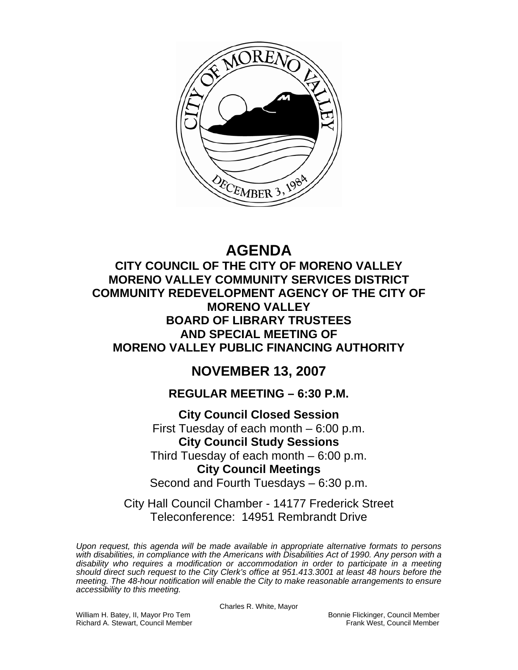

# **AGENDA**

**CITY COUNCIL OF THE CITY OF MORENO VALLEY MORENO VALLEY COMMUNITY SERVICES DISTRICT COMMUNITY REDEVELOPMENT AGENCY OF THE CITY OF MORENO VALLEY BOARD OF LIBRARY TRUSTEES AND SPECIAL MEETING OF MORENO VALLEY PUBLIC FINANCING AUTHORITY** 

## **NOVEMBER 13, 2007**

## **REGULAR MEETING – 6:30 P.M.**

**City Council Closed Session**  First Tuesday of each month – 6:00 p.m. **City Council Study Sessions**  Third Tuesday of each month – 6:00 p.m. **City Council Meetings**  Second and Fourth Tuesdays – 6:30 p.m.

City Hall Council Chamber - 14177 Frederick Street Teleconference: 14951 Rembrandt Drive

*Upon request, this agenda will be made available in appropriate alternative formats to persons with disabilities, in compliance with the Americans with Disabilities Act of 1990. Any person with a disability who requires a modification or accommodation in order to participate in a meeting should direct such request to the City Clerk's office at 951.413.3001 at least 48 hours before the meeting. The 48-hour notification will enable the City to make reasonable arrangements to ensure accessibility to this meeting.* 

William H. Batey, II, Mayor Pro Tem **Bonnie Flickinger, Council Member**<br>Richard A. Stewart, Council Member **Bonnie Flickinger, Council Member** Richard A. Stewart, Council Member

Charles R. White, Mayor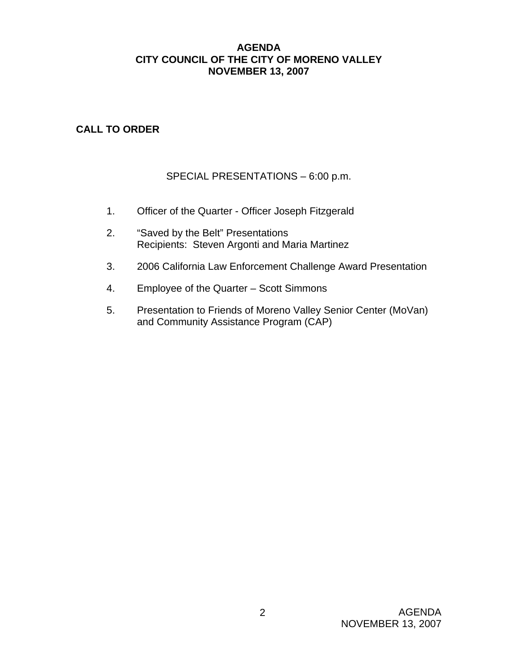## **AGENDA CITY COUNCIL OF THE CITY OF MORENO VALLEY NOVEMBER 13, 2007**

## **CALL TO ORDER**

## SPECIAL PRESENTATIONS – 6:00 p.m.

- 1. Officer of the Quarter Officer Joseph Fitzgerald
- 2. "Saved by the Belt" Presentations Recipients: Steven Argonti and Maria Martinez
- 3. 2006 California Law Enforcement Challenge Award Presentation
- 4. Employee of the Quarter Scott Simmons
- 5. Presentation to Friends of Moreno Valley Senior Center (MoVan) and Community Assistance Program (CAP)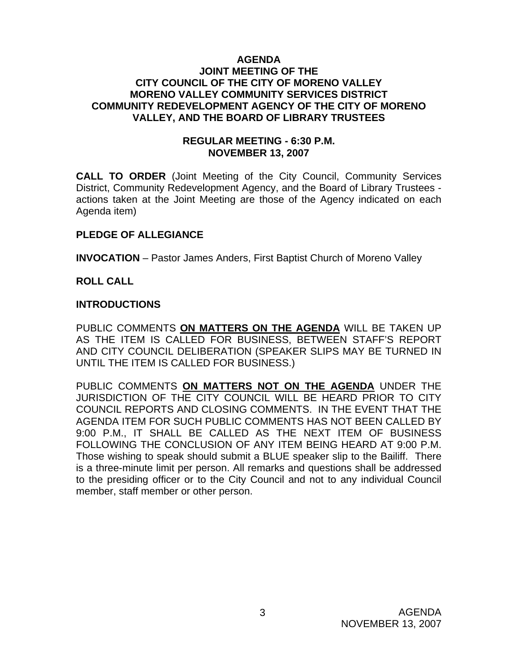## **AGENDA JOINT MEETING OF THE CITY COUNCIL OF THE CITY OF MORENO VALLEY MORENO VALLEY COMMUNITY SERVICES DISTRICT COMMUNITY REDEVELOPMENT AGENCY OF THE CITY OF MORENO VALLEY, AND THE BOARD OF LIBRARY TRUSTEES**

## **REGULAR MEETING - 6:30 P.M. NOVEMBER 13, 2007**

**CALL TO ORDER** (Joint Meeting of the City Council, Community Services District, Community Redevelopment Agency, and the Board of Library Trustees actions taken at the Joint Meeting are those of the Agency indicated on each Agenda item)

## **PLEDGE OF ALLEGIANCE**

**INVOCATION** – Pastor James Anders, First Baptist Church of Moreno Valley

## **ROLL CALL**

## **INTRODUCTIONS**

PUBLIC COMMENTS **ON MATTERS ON THE AGENDA** WILL BE TAKEN UP AS THE ITEM IS CALLED FOR BUSINESS, BETWEEN STAFF'S REPORT AND CITY COUNCIL DELIBERATION (SPEAKER SLIPS MAY BE TURNED IN UNTIL THE ITEM IS CALLED FOR BUSINESS.)

PUBLIC COMMENTS **ON MATTERS NOT ON THE AGENDA** UNDER THE JURISDICTION OF THE CITY COUNCIL WILL BE HEARD PRIOR TO CITY COUNCIL REPORTS AND CLOSING COMMENTS. IN THE EVENT THAT THE AGENDA ITEM FOR SUCH PUBLIC COMMENTS HAS NOT BEEN CALLED BY 9:00 P.M., IT SHALL BE CALLED AS THE NEXT ITEM OF BUSINESS FOLLOWING THE CONCLUSION OF ANY ITEM BEING HEARD AT 9:00 P.M. Those wishing to speak should submit a BLUE speaker slip to the Bailiff. There is a three-minute limit per person. All remarks and questions shall be addressed to the presiding officer or to the City Council and not to any individual Council member, staff member or other person.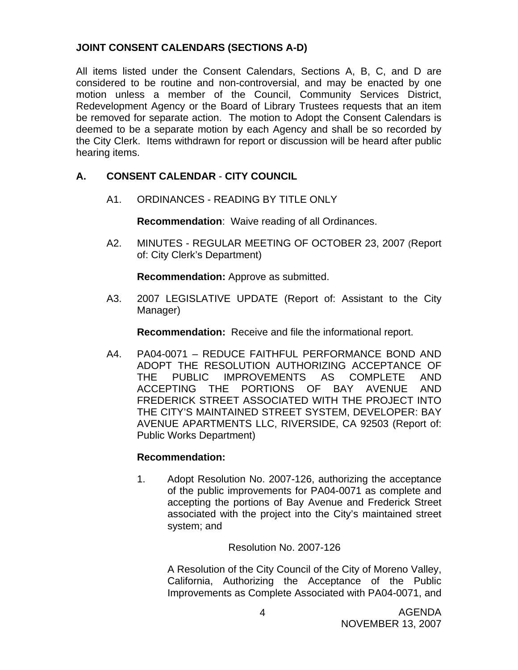## **JOINT CONSENT CALENDARS (SECTIONS A-D)**

All items listed under the Consent Calendars, Sections A, B, C, and D are considered to be routine and non-controversial, and may be enacted by one motion unless a member of the Council, Community Services District, Redevelopment Agency or the Board of Library Trustees requests that an item be removed for separate action. The motion to Adopt the Consent Calendars is deemed to be a separate motion by each Agency and shall be so recorded by the City Clerk. Items withdrawn for report or discussion will be heard after public hearing items.

## **A. CONSENT CALENDAR** - **CITY COUNCIL**

A1. ORDINANCES - READING BY TITLE ONLY

**Recommendation**: Waive reading of all Ordinances.

A2. MINUTES - REGULAR MEETING OF OCTOBER 23, 2007 (Report of: City Clerk's Department)

**Recommendation:** Approve as submitted.

 A3. 2007 LEGISLATIVE UPDATE (Report of: Assistant to the City Manager)

**Recommendation:** Receive and file the informational report.

A4. PA04-0071 – REDUCE FAITHFUL PERFORMANCE BOND AND ADOPT THE RESOLUTION AUTHORIZING ACCEPTANCE OF THE PUBLIC IMPROVEMENTS AS COMPLETE AND ACCEPTING THE PORTIONS OF BAY AVENUE AND FREDERICK STREET ASSOCIATED WITH THE PROJECT INTO THE CITY'S MAINTAINED STREET SYSTEM, DEVELOPER: BAY AVENUE APARTMENTS LLC, RIVERSIDE, CA 92503 (Report of: Public Works Department)

## **Recommendation:**

1. Adopt Resolution No. 2007-126, authorizing the acceptance of the public improvements for PA04-0071 as complete and accepting the portions of Bay Avenue and Frederick Street associated with the project into the City's maintained street system; and

Resolution No. 2007-126

 A Resolution of the City Council of the City of Moreno Valley, California, Authorizing the Acceptance of the Public Improvements as Complete Associated with PA04-0071, and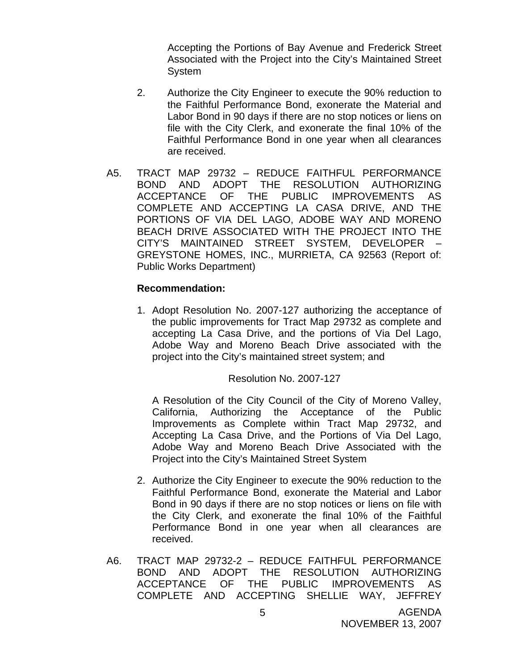Accepting the Portions of Bay Avenue and Frederick Street Associated with the Project into the City's Maintained Street System

- 2. Authorize the City Engineer to execute the 90% reduction to the Faithful Performance Bond, exonerate the Material and Labor Bond in 90 days if there are no stop notices or liens on file with the City Clerk, and exonerate the final 10% of the Faithful Performance Bond in one year when all clearances are received.
- A5. TRACT MAP 29732 REDUCE FAITHFUL PERFORMANCE BOND AND ADOPT THE RESOLUTION AUTHORIZING ACCEPTANCE OF THE PUBLIC IMPROVEMENTS AS COMPLETE AND ACCEPTING LA CASA DRIVE, AND THE PORTIONS OF VIA DEL LAGO, ADOBE WAY AND MORENO BEACH DRIVE ASSOCIATED WITH THE PROJECT INTO THE CITY'S MAINTAINED STREET SYSTEM, DEVELOPER – GREYSTONE HOMES, INC., MURRIETA, CA 92563 (Report of: Public Works Department)

#### **Recommendation:**

1. Adopt Resolution No. 2007-127 authorizing the acceptance of the public improvements for Tract Map 29732 as complete and accepting La Casa Drive, and the portions of Via Del Lago, Adobe Way and Moreno Beach Drive associated with the project into the City's maintained street system; and

## Resolution No. 2007-127

 A Resolution of the City Council of the City of Moreno Valley, California, Authorizing the Acceptance of the Public Improvements as Complete within Tract Map 29732, and Accepting La Casa Drive, and the Portions of Via Del Lago, Adobe Way and Moreno Beach Drive Associated with the Project into the City's Maintained Street System

- 2. Authorize the City Engineer to execute the 90% reduction to the Faithful Performance Bond, exonerate the Material and Labor Bond in 90 days if there are no stop notices or liens on file with the City Clerk, and exonerate the final 10% of the Faithful Performance Bond in one year when all clearances are received.
- A6. TRACT MAP 29732-2 REDUCE FAITHFUL PERFORMANCE BOND AND ADOPT THE RESOLUTION AUTHORIZING ACCEPTANCE OF THE PUBLIC IMPROVEMENTS AS COMPLETE AND ACCEPTING SHELLIE WAY, JEFFREY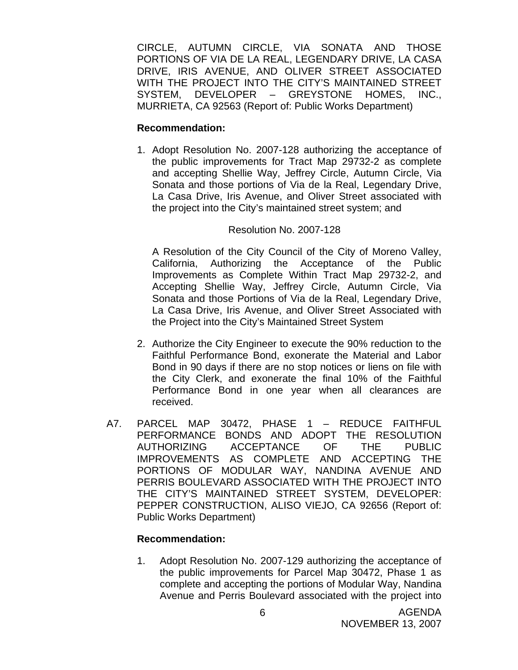CIRCLE, AUTUMN CIRCLE, VIA SONATA AND THOSE PORTIONS OF VIA DE LA REAL, LEGENDARY DRIVE, LA CASA DRIVE, IRIS AVENUE, AND OLIVER STREET ASSOCIATED WITH THE PROJECT INTO THE CITY'S MAINTAINED STREET SYSTEM, DEVELOPER – GREYSTONE HOMES, INC., MURRIETA, CA 92563 (Report of: Public Works Department)

#### **Recommendation:**

1. Adopt Resolution No. 2007-128 authorizing the acceptance of the public improvements for Tract Map 29732-2 as complete and accepting Shellie Way, Jeffrey Circle, Autumn Circle, Via Sonata and those portions of Via de la Real, Legendary Drive, La Casa Drive, Iris Avenue, and Oliver Street associated with the project into the City's maintained street system; and

## Resolution No. 2007-128

 A Resolution of the City Council of the City of Moreno Valley, California, Authorizing the Acceptance of the Public Improvements as Complete Within Tract Map 29732-2, and Accepting Shellie Way, Jeffrey Circle, Autumn Circle, Via Sonata and those Portions of Via de la Real, Legendary Drive, La Casa Drive, Iris Avenue, and Oliver Street Associated with the Project into the City's Maintained Street System

- 2. Authorize the City Engineer to execute the 90% reduction to the Faithful Performance Bond, exonerate the Material and Labor Bond in 90 days if there are no stop notices or liens on file with the City Clerk, and exonerate the final 10% of the Faithful Performance Bond in one year when all clearances are received.
- A7. PARCEL MAP 30472, PHASE 1 REDUCE FAITHFUL PERFORMANCE BONDS AND ADOPT THE RESOLUTION AUTHORIZING ACCEPTANCE OF THE PUBLIC IMPROVEMENTS AS COMPLETE AND ACCEPTING THE PORTIONS OF MODULAR WAY, NANDINA AVENUE AND PERRIS BOULEVARD ASSOCIATED WITH THE PROJECT INTO THE CITY'S MAINTAINED STREET SYSTEM, DEVELOPER: PEPPER CONSTRUCTION, ALISO VIEJO, CA 92656 (Report of: Public Works Department)

## **Recommendation:**

1. Adopt Resolution No. 2007-129 authorizing the acceptance of the public improvements for Parcel Map 30472, Phase 1 as complete and accepting the portions of Modular Way, Nandina Avenue and Perris Boulevard associated with the project into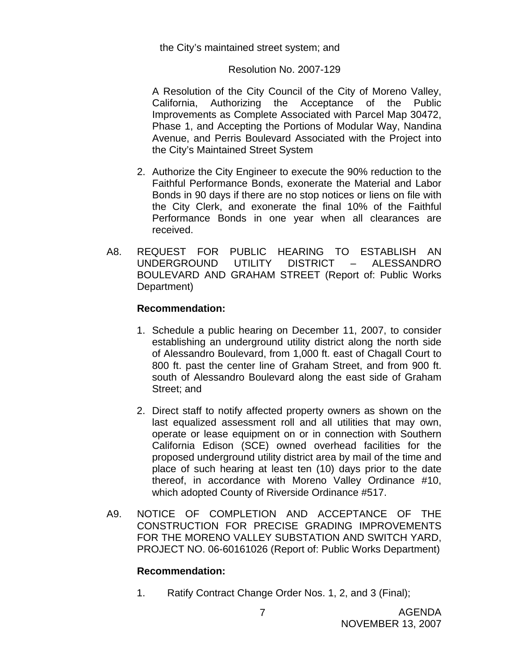#### the City's maintained street system; and

#### Resolution No. 2007-129

 A Resolution of the City Council of the City of Moreno Valley, California, Authorizing the Acceptance of the Public Improvements as Complete Associated with Parcel Map 30472, Phase 1, and Accepting the Portions of Modular Way, Nandina Avenue, and Perris Boulevard Associated with the Project into the City's Maintained Street System

- 2. Authorize the City Engineer to execute the 90% reduction to the Faithful Performance Bonds, exonerate the Material and Labor Bonds in 90 days if there are no stop notices or liens on file with the City Clerk, and exonerate the final 10% of the Faithful Performance Bonds in one year when all clearances are received.
- A8. REQUEST FOR PUBLIC HEARING TO ESTABLISH AN UNDERGROUND UTILITY DISTRICT – ALESSANDRO BOULEVARD AND GRAHAM STREET (Report of: Public Works Department)

#### **Recommendation:**

- 1. Schedule a public hearing on December 11, 2007, to consider establishing an underground utility district along the north side of Alessandro Boulevard, from 1,000 ft. east of Chagall Court to 800 ft. past the center line of Graham Street, and from 900 ft. south of Alessandro Boulevard along the east side of Graham Street; and
- 2. Direct staff to notify affected property owners as shown on the last equalized assessment roll and all utilities that may own, operate or lease equipment on or in connection with Southern California Edison (SCE) owned overhead facilities for the proposed underground utility district area by mail of the time and place of such hearing at least ten (10) days prior to the date thereof, in accordance with Moreno Valley Ordinance #10, which adopted County of Riverside Ordinance #517.
- A9. NOTICE OF COMPLETION AND ACCEPTANCE OF THE CONSTRUCTION FOR PRECISE GRADING IMPROVEMENTS FOR THE MORENO VALLEY SUBSTATION AND SWITCH YARD, PROJECT NO. 06-60161026 (Report of: Public Works Department)

#### **Recommendation:**

1. Ratify Contract Change Order Nos. 1, 2, and 3 (Final);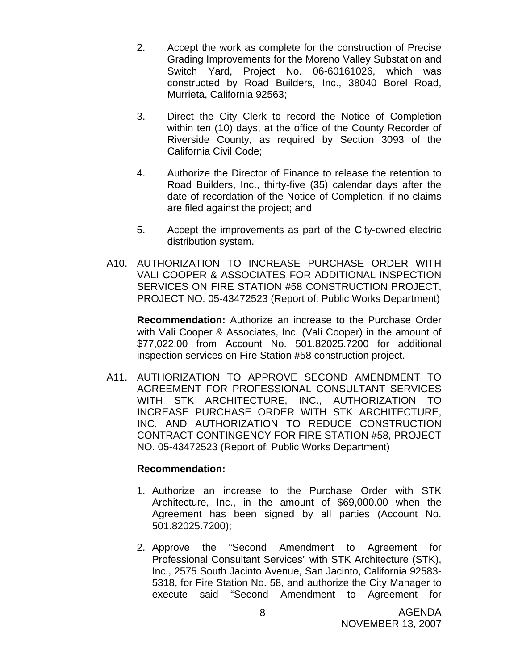- 2. Accept the work as complete for the construction of Precise Grading Improvements for the Moreno Valley Substation and Switch Yard, Project No. 06-60161026, which was constructed by Road Builders, Inc., 38040 Borel Road, Murrieta, California 92563;
- 3. Direct the City Clerk to record the Notice of Completion within ten (10) days, at the office of the County Recorder of Riverside County, as required by Section 3093 of the California Civil Code;
- 4. Authorize the Director of Finance to release the retention to Road Builders, Inc., thirty-five (35) calendar days after the date of recordation of the Notice of Completion, if no claims are filed against the project; and
- 5. Accept the improvements as part of the City-owned electric distribution system.
- A10. AUTHORIZATION TO INCREASE PURCHASE ORDER WITH VALI COOPER & ASSOCIATES FOR ADDITIONAL INSPECTION SERVICES ON FIRE STATION #58 CONSTRUCTION PROJECT, PROJECT NO. 05-43472523 (Report of: Public Works Department)

 **Recommendation:** Authorize an increase to the Purchase Order with Vali Cooper & Associates, Inc. (Vali Cooper) in the amount of \$77,022.00 from Account No. 501.82025.7200 for additional inspection services on Fire Station #58 construction project.

A11. AUTHORIZATION TO APPROVE SECOND AMENDMENT TO AGREEMENT FOR PROFESSIONAL CONSULTANT SERVICES WITH STK ARCHITECTURE, INC., AUTHORIZATION TO INCREASE PURCHASE ORDER WITH STK ARCHITECTURE, INC. AND AUTHORIZATION TO REDUCE CONSTRUCTION CONTRACT CONTINGENCY FOR FIRE STATION #58, PROJECT NO. 05-43472523 (Report of: Public Works Department)

## **Recommendation:**

- 1. Authorize an increase to the Purchase Order with STK Architecture, Inc., in the amount of \$69,000.00 when the Agreement has been signed by all parties (Account No. 501.82025.7200);
- 2. Approve the "Second Amendment to Agreement for Professional Consultant Services" with STK Architecture (STK), Inc., 2575 South Jacinto Avenue, San Jacinto, California 92583- 5318, for Fire Station No. 58, and authorize the City Manager to execute said "Second Amendment to Agreement for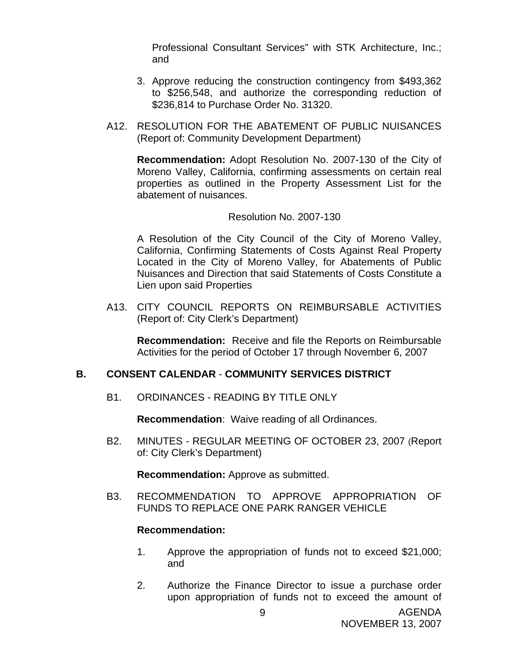Professional Consultant Services" with STK Architecture, Inc.; and

- 3. Approve reducing the construction contingency from \$493,362 to \$256,548, and authorize the corresponding reduction of \$236,814 to Purchase Order No. 31320.
- A12. RESOLUTION FOR THE ABATEMENT OF PUBLIC NUISANCES (Report of: Community Development Department)

 **Recommendation:** Adopt Resolution No. 2007-130 of the City of Moreno Valley, California, confirming assessments on certain real properties as outlined in the Property Assessment List for the abatement of nuisances.

#### Resolution No. 2007-130

 A Resolution of the City Council of the City of Moreno Valley, California, Confirming Statements of Costs Against Real Property Located in the City of Moreno Valley, for Abatements of Public Nuisances and Direction that said Statements of Costs Constitute a Lien upon said Properties

 A13. CITY COUNCIL REPORTS ON REIMBURSABLE ACTIVITIES (Report of: City Clerk's Department)

 **Recommendation:** Receive and file the Reports on Reimbursable Activities for the period of October 17 through November 6, 2007

#### **B. CONSENT CALENDAR** - **COMMUNITY SERVICES DISTRICT**

B1. ORDINANCES - READING BY TITLE ONLY

**Recommendation**: Waive reading of all Ordinances.

B2. MINUTES - REGULAR MEETING OF OCTOBER 23, 2007 (Report of: City Clerk's Department)

**Recommendation:** Approve as submitted.

B3. RECOMMENDATION TO APPROVE APPROPRIATION OF FUNDS TO REPLACE ONE PARK RANGER VEHICLE

#### **Recommendation:**

- 1. Approve the appropriation of funds not to exceed \$21,000; and
- 2. Authorize the Finance Director to issue a purchase order upon appropriation of funds not to exceed the amount of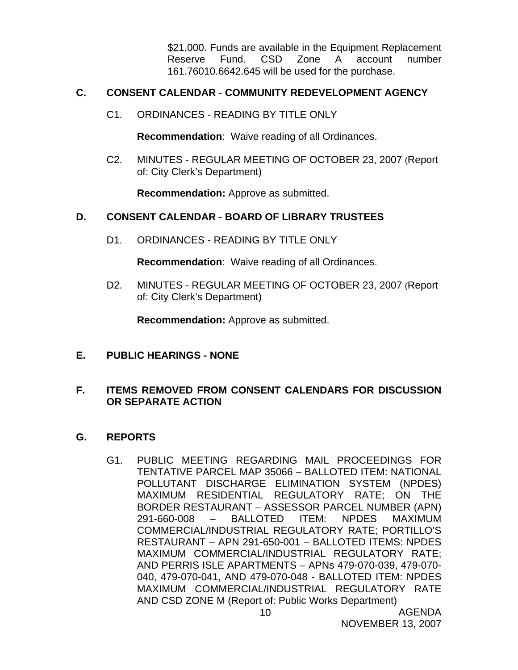\$21,000. Funds are available in the Equipment Replacement Reserve Fund. CSD Zone A account number 161.76010.6642.645 will be used for the purchase.

## **C. CONSENT CALENDAR** - **COMMUNITY REDEVELOPMENT AGENCY**

C1. ORDINANCES - READING BY TITLE ONLY

**Recommendation**: Waive reading of all Ordinances.

C2. MINUTES - REGULAR MEETING OF OCTOBER 23, 2007 (Report of: City Clerk's Department)

**Recommendation:** Approve as submitted.

## **D. CONSENT CALENDAR** - **BOARD OF LIBRARY TRUSTEES**

D1. ORDINANCES - READING BY TITLE ONLY

**Recommendation**: Waive reading of all Ordinances.

D2. MINUTES - REGULAR MEETING OF OCTOBER 23, 2007 (Report of: City Clerk's Department)

**Recommendation:** Approve as submitted.

**E. PUBLIC HEARINGS - NONE**

## **F. ITEMS REMOVED FROM CONSENT CALENDARS FOR DISCUSSION OR SEPARATE ACTION**

## **G. REPORTS**

G1. PUBLIC MEETING REGARDING MAIL PROCEEDINGS FOR TENTATIVE PARCEL MAP 35066 – BALLOTED ITEM: NATIONAL POLLUTANT DISCHARGE ELIMINATION SYSTEM (NPDES) MAXIMUM RESIDENTIAL REGULATORY RATE; ON THE BORDER RESTAURANT – ASSESSOR PARCEL NUMBER (APN) 291-660-008 – BALLOTED ITEM: NPDES MAXIMUM COMMERCIAL/INDUSTRIAL REGULATORY RATE; PORTILLO'S RESTAURANT – APN 291-650-001 – BALLOTED ITEMS: NPDES MAXIMUM COMMERCIAL/INDUSTRIAL REGULATORY RATE; AND PERRIS ISLE APARTMENTS – APNs 479-070-039, 479-070- 040, 479-070-041, AND 479-070-048 - BALLOTED ITEM: NPDES MAXIMUM COMMERCIAL/INDUSTRIAL REGULATORY RATE AND CSD ZONE M (Report of: Public Works Department)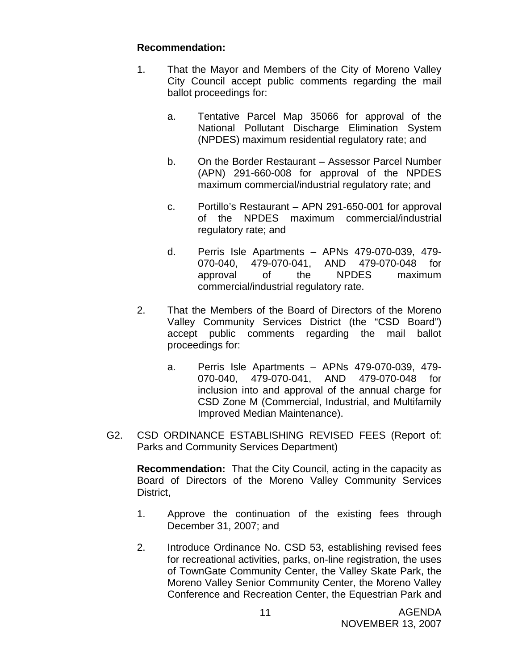## **Recommendation:**

- 1. That the Mayor and Members of the City of Moreno Valley City Council accept public comments regarding the mail ballot proceedings for:
	- a. Tentative Parcel Map 35066 for approval of the National Pollutant Discharge Elimination System (NPDES) maximum residential regulatory rate; and
	- b. On the Border Restaurant Assessor Parcel Number (APN) 291-660-008 for approval of the NPDES maximum commercial/industrial regulatory rate; and
	- c. Portillo's Restaurant APN 291-650-001 for approval of the NPDES maximum commercial/industrial regulatory rate; and
	- d. Perris Isle Apartments APNs 479-070-039, 479- 070-040, 479-070-041, AND 479-070-048 for approval of the NPDES maximum commercial/industrial regulatory rate.
- 2. That the Members of the Board of Directors of the Moreno Valley Community Services District (the "CSD Board") accept public comments regarding the mail ballot proceedings for:
	- a. Perris Isle Apartments APNs 479-070-039, 479- 070-040, 479-070-041, AND 479-070-048 for inclusion into and approval of the annual charge for CSD Zone M (Commercial, Industrial, and Multifamily Improved Median Maintenance).
- G2. CSD ORDINANCE ESTABLISHING REVISED FEES (Report of: Parks and Community Services Department)

**Recommendation:** That the City Council, acting in the capacity as Board of Directors of the Moreno Valley Community Services District,

- 1. Approve the continuation of the existing fees through December 31, 2007; and
- 2. Introduce Ordinance No. CSD 53, establishing revised fees for recreational activities, parks, on-line registration, the uses of TownGate Community Center, the Valley Skate Park, the Moreno Valley Senior Community Center, the Moreno Valley Conference and Recreation Center, the Equestrian Park and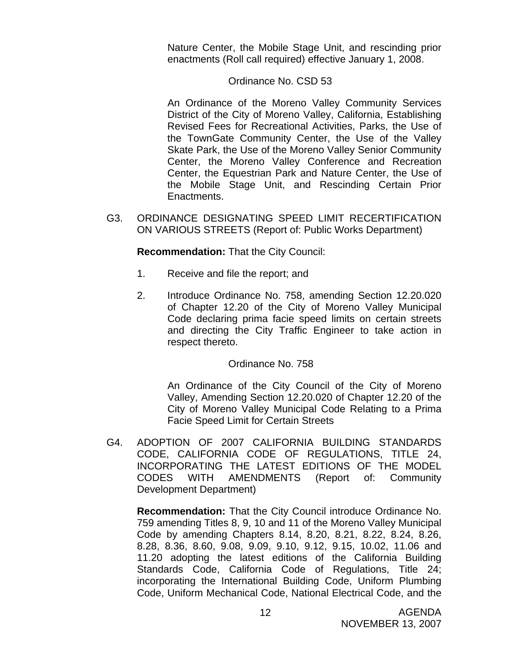Nature Center, the Mobile Stage Unit, and rescinding prior enactments (Roll call required) effective January 1, 2008.

## Ordinance No. CSD 53

 An Ordinance of the Moreno Valley Community Services District of the City of Moreno Valley, California, Establishing Revised Fees for Recreational Activities, Parks, the Use of the TownGate Community Center, the Use of the Valley Skate Park, the Use of the Moreno Valley Senior Community Center, the Moreno Valley Conference and Recreation Center, the Equestrian Park and Nature Center, the Use of the Mobile Stage Unit, and Rescinding Certain Prior Enactments.

G3. ORDINANCE DESIGNATING SPEED LIMIT RECERTIFICATION ON VARIOUS STREETS (Report of: Public Works Department)

**Recommendation:** That the City Council:

- 1. Receive and file the report; and
- 2. Introduce Ordinance No. 758, amending Section 12.20.020 of Chapter 12.20 of the City of Moreno Valley Municipal Code declaring prima facie speed limits on certain streets and directing the City Traffic Engineer to take action in respect thereto.

## Ordinance No. 758

 An Ordinance of the City Council of the City of Moreno Valley, Amending Section 12.20.020 of Chapter 12.20 of the City of Moreno Valley Municipal Code Relating to a Prima Facie Speed Limit for Certain Streets

G4. ADOPTION OF 2007 CALIFORNIA BUILDING STANDARDS CODE, CALIFORNIA CODE OF REGULATIONS, TITLE 24, INCORPORATING THE LATEST EDITIONS OF THE MODEL CODES WITH AMENDMENTS (Report of: Community Development Department)

**Recommendation:** That the City Council introduce Ordinance No. 759 amending Titles 8, 9, 10 and 11 of the Moreno Valley Municipal Code by amending Chapters 8.14, 8.20, 8.21, 8.22, 8.24, 8.26, 8.28, 8.36, 8.60, 9.08, 9.09, 9.10, 9.12, 9.15, 10.02, 11.06 and 11.20 adopting the latest editions of the California Building Standards Code, California Code of Regulations, Title 24; incorporating the International Building Code, Uniform Plumbing Code, Uniform Mechanical Code, National Electrical Code, and the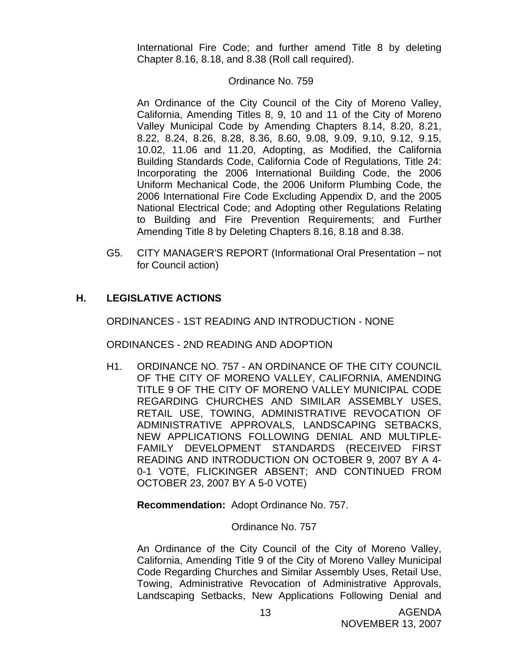International Fire Code; and further amend Title 8 by deleting Chapter 8.16, 8.18, and 8.38 (Roll call required).

#### Ordinance No. 759

 An Ordinance of the City Council of the City of Moreno Valley, California, Amending Titles 8, 9, 10 and 11 of the City of Moreno Valley Municipal Code by Amending Chapters 8.14, 8.20, 8.21, 8.22, 8.24, 8.26, 8.28, 8.36, 8.60, 9.08, 9.09, 9.10, 9.12, 9.15, 10.02, 11.06 and 11.20, Adopting, as Modified, the California Building Standards Code, California Code of Regulations, Title 24: Incorporating the 2006 International Building Code, the 2006 Uniform Mechanical Code, the 2006 Uniform Plumbing Code, the 2006 International Fire Code Excluding Appendix D, and the 2005 National Electrical Code; and Adopting other Regulations Relating to Building and Fire Prevention Requirements; and Further Amending Title 8 by Deleting Chapters 8.16, 8.18 and 8.38.

G5. CITY MANAGER'S REPORT (Informational Oral Presentation – not for Council action)

## **H. LEGISLATIVE ACTIONS**

ORDINANCES - 1ST READING AND INTRODUCTION - NONE

ORDINANCES - 2ND READING AND ADOPTION

H1. ORDINANCE NO. 757 - AN ORDINANCE OF THE CITY COUNCIL OF THE CITY OF MORENO VALLEY, CALIFORNIA, AMENDING TITLE 9 OF THE CITY OF MORENO VALLEY MUNICIPAL CODE REGARDING CHURCHES AND SIMILAR ASSEMBLY USES, RETAIL USE, TOWING, ADMINISTRATIVE REVOCATION OF ADMINISTRATIVE APPROVALS, LANDSCAPING SETBACKS, NEW APPLICATIONS FOLLOWING DENIAL AND MULTIPLE-FAMILY DEVELOPMENT STANDARDS (RECEIVED FIRST READING AND INTRODUCTION ON OCTOBER 9, 2007 BY A 4- 0-1 VOTE, FLICKINGER ABSENT; AND CONTINUED FROM OCTOBER 23, 2007 BY A 5-0 VOTE)

**Recommendation:** Adopt Ordinance No. 757.

#### Ordinance No. 757

An Ordinance of the City Council of the City of Moreno Valley, California, Amending Title 9 of the City of Moreno Valley Municipal Code Regarding Churches and Similar Assembly Uses, Retail Use, Towing, Administrative Revocation of Administrative Approvals, Landscaping Setbacks, New Applications Following Denial and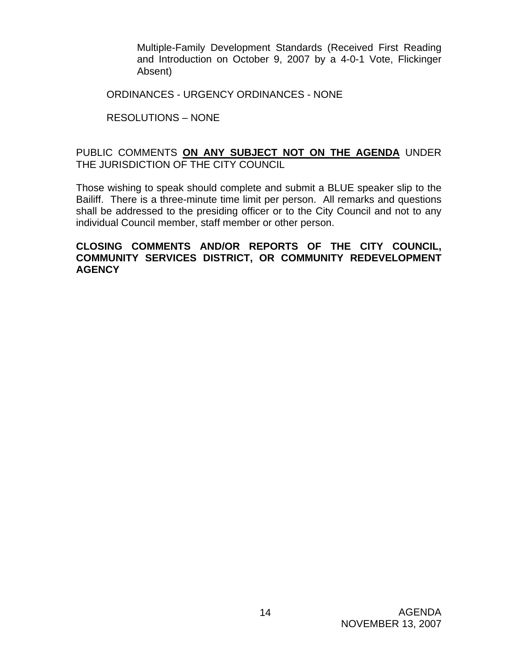Multiple-Family Development Standards (Received First Reading and Introduction on October 9, 2007 by a 4-0-1 Vote, Flickinger Absent)

ORDINANCES - URGENCY ORDINANCES - NONE

## RESOLUTIONS – NONE

## PUBLIC COMMENTS **ON ANY SUBJECT NOT ON THE AGENDA** UNDER THE JURISDICTION OF THE CITY COUNCIL

Those wishing to speak should complete and submit a BLUE speaker slip to the Bailiff. There is a three-minute time limit per person. All remarks and questions shall be addressed to the presiding officer or to the City Council and not to any individual Council member, staff member or other person.

#### **CLOSING COMMENTS AND/OR REPORTS OF THE CITY COUNCIL, COMMUNITY SERVICES DISTRICT, OR COMMUNITY REDEVELOPMENT AGENCY**